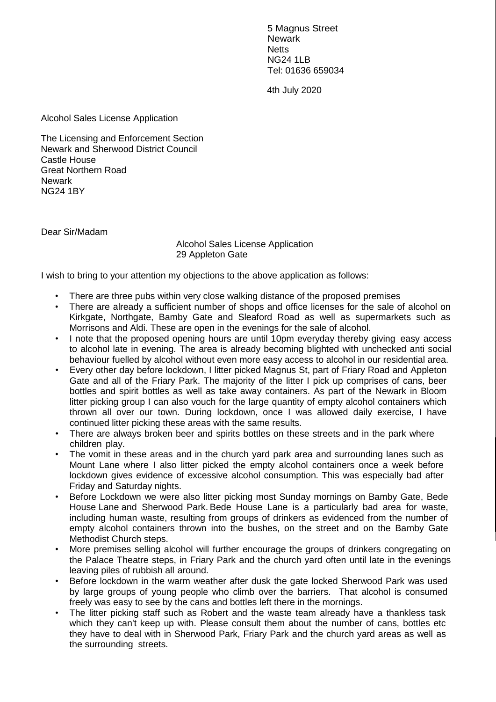5 Magnus Street **Newark Netts** NG24 1LB Tel: 01636 659034

4th July 2020

Alcohol Sales License Application

The Licensing and Enforcement Section Newark and Sherwood District Council Castle House Great Northern Road Newark NG24 1BY

Dear Sir/Madam

Alcohol Sales License Application 29 Appleton Gate

I wish to bring to your attention my objections to the above application as follows:

- There are three pubs within very close walking distance of the proposed premises
- There are already a sufficient number of shops and office licenses for the sale of alcohol on Kirkgate, Northgate, Bamby Gate and Sleaford Road as well as supermarkets such as Morrisons and Aldi. These are open in the evenings for the sale of alcohol.
- I note that the proposed opening hours are until 10pm everyday thereby giving easy access to alcohol late in evening. The area is already becoming blighted with unchecked anti social behaviour fuelled by alcohol without even more easy access to alcohol in our residential area.
- Every other day before lockdown, I litter picked Magnus St, part of Friary Road and Appleton Gate and all of the Friary Park. The majority of the litter I pick up comprises of cans, beer bottles and spirit bottles as well as take away containers. As part of the Newark in Bloom litter picking group I can also vouch for the large quantity of empty alcohol containers which thrown all over our town. During lockdown, once I was allowed daily exercise, I have continued litter picking these areas with the same results.
- There are always broken beer and spirits bottles on these streets and in the park where children play.
- The vomit in these areas and in the church yard park area and surrounding lanes such as Mount Lane where I also litter picked the empty alcohol containers once a week before lockdown gives evidence of excessive alcohol consumption. This was especially bad after Friday and Saturday nights.
- Before Lockdown we were also litter picking most Sunday mornings on Bamby Gate, Bede House Lane and Sherwood Park. Bede House Lane is a particularly bad area for waste, including human waste, resulting from groups of drinkers as evidenced from the number of empty alcohol containers thrown into the bushes, on the street and on the Bamby Gate Methodist Church steps.
- More premises selling alcohol will further encourage the groups of drinkers congregating on the Palace Theatre steps, in Friary Park and the church yard often until late in the evenings leaving piles of rubbish all around.
- Before lockdown in the warm weather after dusk the gate locked Sherwood Park was used by large groups of young people who climb over the barriers. That alcohol is consumed freely was easy to see by the cans and bottles left there in the mornings.
- The litter picking staff such as Robert and the waste team already have a thankless task which they can't keep up with. Please consult them about the number of cans, bottles etc they have to deal with in Sherwood Park, Friary Park and the church yard areas as well as the surrounding streets.